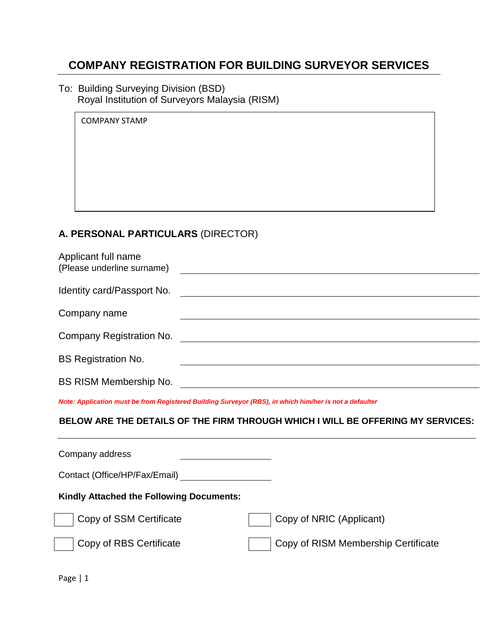# **COMPANY REGISTRATION FOR BUILDING SURVEYOR SERVICES**

To: Building Surveying Division (BSD) Royal Institution of Surveyors Malaysia (RISM)

| <b>COMPANY STAMP</b> |  |  |
|----------------------|--|--|
|                      |  |  |
|                      |  |  |
|                      |  |  |
|                      |  |  |

## **A. PERSONAL PARTICULARS** (DIRECTOR)

| Applicant full name<br>(Please underline surname) | <u> 1980 - John Stein, Amerikaansk kanton (</u> |
|---------------------------------------------------|-------------------------------------------------|
| Identity card/Passport No.                        |                                                 |
| Company name                                      |                                                 |
| Company Registration No.                          |                                                 |
| <b>BS Registration No.</b>                        |                                                 |
| BS RISM Membership No.                            |                                                 |

*Note: Application must be from Registered Building Surveyor (RBS), in which him/her is not a defaulter*

#### **BELOW ARE THE DETAILS OF THE FIRM THROUGH WHICH I WILL BE OFFERING MY SERVICES:**

| Company address                                 |                                     |
|-------------------------------------------------|-------------------------------------|
| Contact (Office/HP/Fax/Email)                   |                                     |
| <b>Kindly Attached the Following Documents:</b> |                                     |
| Copy of SSM Certificate                         | Copy of NRIC (Applicant)            |
| Copy of RBS Certificate                         | Copy of RISM Membership Certificate |
|                                                 |                                     |

Page | 1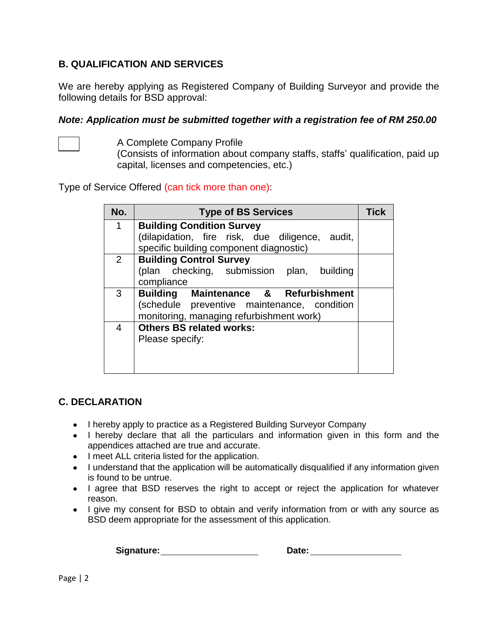### **B. QUALIFICATION AND SERVICES**

We are hereby applying as Registered Company of Building Surveyor and provide the following details for BSD approval:

#### *Note: Application must be submitted together with a registration fee of RM 250.00*



A Complete Company Profile

(Consists of information about company staffs, staffs' qualification, paid up capital, licenses and competencies, etc.)

Type of Service Offered (can tick more than one):

| No.            | <b>Type of BS Services</b>                      | Tick |
|----------------|-------------------------------------------------|------|
| 1              | <b>Building Condition Survey</b>                |      |
|                | (dilapidation, fire risk, due diligence, audit, |      |
|                | specific building component diagnostic)         |      |
| $\overline{2}$ | <b>Building Control Survey</b>                  |      |
|                | (plan checking, submission plan, building       |      |
|                | compliance                                      |      |
| 3              | <b>Building Maintenance &amp; Refurbishment</b> |      |
|                | (schedule preventive maintenance, condition     |      |
|                | monitoring, managing refurbishment work)        |      |
| 4              | <b>Others BS related works:</b>                 |      |
|                | Please specify:                                 |      |
|                |                                                 |      |
|                |                                                 |      |
|                |                                                 |      |

### **C. DECLARATION**

- I hereby apply to practice as a Registered Building Surveyor Company
- I hereby declare that all the particulars and information given in this form and the appendices attached are true and accurate.
- I meet ALL criteria listed for the application.
- I understand that the application will be automatically disqualified if any information given is found to be untrue.
- I agree that BSD reserves the right to accept or reject the application for whatever reason.
- I give my consent for BSD to obtain and verify information from or with any source as BSD deem appropriate for the assessment of this application.

 **Signature: Date:**

Page | 2